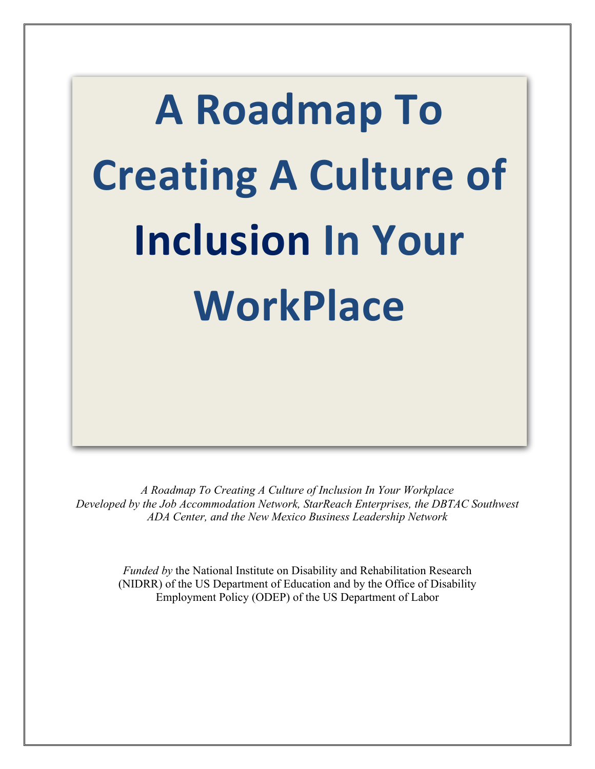# **A Roadmap To Creating A Culture of Inclusion In Your WorkPlace**

*A Roadmap To Creating A Culture of Inclusion In Your Workplace Developed by the Job Accommodation Network, StarReach Enterprises, the DBTAC Southwest ADA Center, and the New Mexico Business Leadership Network*

*Funded by* the National Institute on Disability and Rehabilitation Research (NIDRR) of the US Department of Education and by the Office of Disability Employment Policy (ODEP) of the US Department of Labor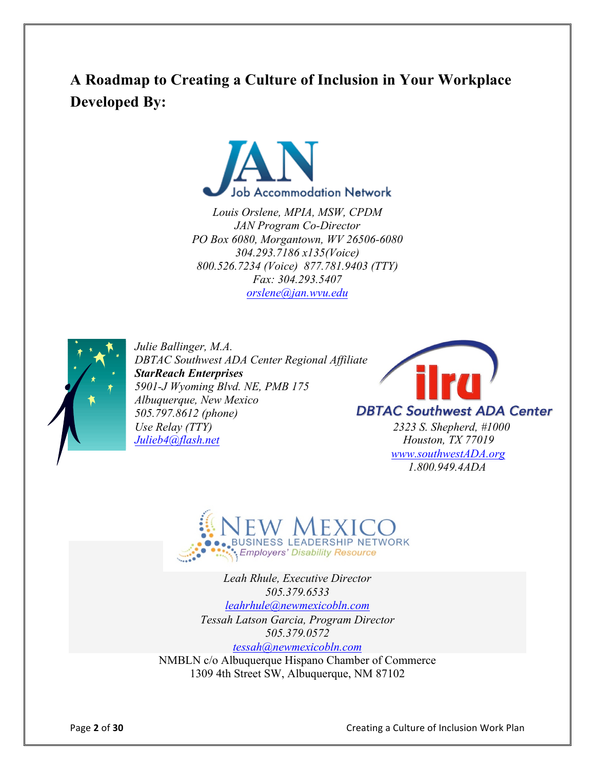# **A Roadmap to Creating a Culture of Inclusion in Your Workplace Developed By:**



*Louis Orslene, MPIA, MSW, CPDM JAN Program Co-Director PO Box 6080, Morgantown, WV 26506-6080 304.293.7186 x135(Voice) 800.526.7234 (Voice) 877.781.9403 (TTY) Fax: 304.293.5407 orslene@jan.wvu.edu*



*Julie Ballinger, M.A. DBTAC Southwest ADA Center Regional Affiliate StarReach Enterprises 5901-J Wyoming Blvd. NE, PMB 175 Albuquerque, New Mexico 505.797.8612 (phone) Use Relay (TTY) 2323 S. Shepherd, #1000 Julieb4@flash.net* Houston, TX 77019



 *www.southwestADA.org 1.800.949.4ADA*



*Leah Rhule, Executive Director 505.379.6533 leahrhule@newmexicobln.com Tessah Latson Garcia, Program Director 505.379.0572 tessah@newmexicobln.com*

NMBLN c/o Albuquerque Hispano Chamber of Commerce 1309 4th Street SW, Albuquerque, NM 87102

**Page 2 of 30** Creating a Culture of Inclusion Work Plan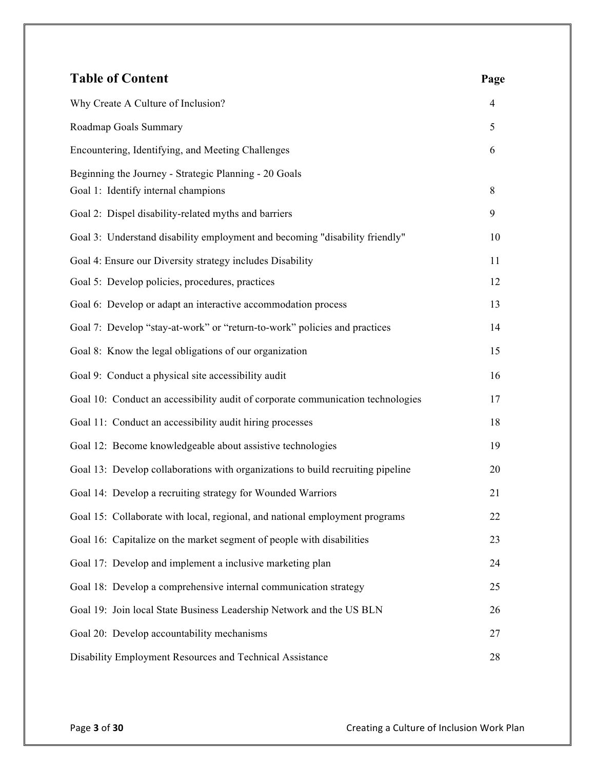| <b>Table of Content</b>                                                                      | Page           |
|----------------------------------------------------------------------------------------------|----------------|
| Why Create A Culture of Inclusion?                                                           | $\overline{4}$ |
| Roadmap Goals Summary                                                                        | 5              |
| Encountering, Identifying, and Meeting Challenges                                            | 6              |
| Beginning the Journey - Strategic Planning - 20 Goals<br>Goal 1: Identify internal champions | 8              |
| Goal 2: Dispel disability-related myths and barriers                                         | 9              |
| Goal 3: Understand disability employment and becoming "disability friendly"                  | 10             |
| Goal 4: Ensure our Diversity strategy includes Disability                                    | 11             |
| Goal 5: Develop policies, procedures, practices                                              | 12             |
| Goal 6: Develop or adapt an interactive accommodation process                                | 13             |
| Goal 7: Develop "stay-at-work" or "return-to-work" policies and practices                    | 14             |
| Goal 8: Know the legal obligations of our organization                                       | 15             |
| Goal 9: Conduct a physical site accessibility audit                                          | 16             |
| Goal 10: Conduct an accessibility audit of corporate communication technologies              | 17             |
| Goal 11: Conduct an accessibility audit hiring processes                                     | 18             |
| Goal 12: Become knowledgeable about assistive technologies                                   | 19             |
| Goal 13: Develop collaborations with organizations to build recruiting pipeline              | 20             |
| Goal 14: Develop a recruiting strategy for Wounded Warriors                                  | 21             |
| Goal 15: Collaborate with local, regional, and national employment programs                  | 22             |
| Goal 16: Capitalize on the market segment of people with disabilities                        | 23             |
| Goal 17: Develop and implement a inclusive marketing plan                                    | 24             |
| Goal 18: Develop a comprehensive internal communication strategy                             | 25             |
| Goal 19: Join local State Business Leadership Network and the US BLN                         | 26             |
| Goal 20: Develop accountability mechanisms                                                   | 27             |
| Disability Employment Resources and Technical Assistance                                     | 28             |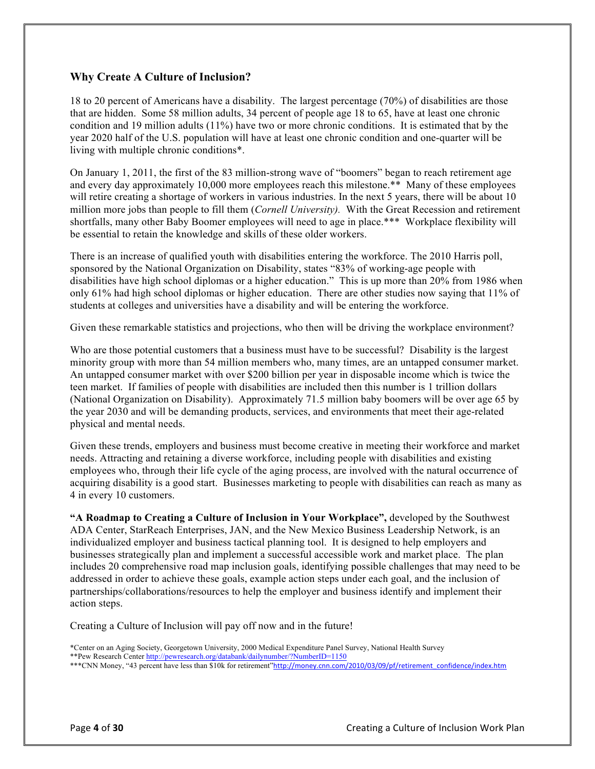#### **Why Create A Culture of Inclusion?**

18 to 20 percent of Americans have a disability. The largest percentage (70%) of disabilities are those that are hidden. Some 58 million adults, 34 percent of people age 18 to 65, have at least one chronic condition and 19 million adults (11%) have two or more chronic conditions. It is estimated that by the year 2020 half of the U.S. population will have at least one chronic condition and one-quarter will be living with multiple chronic conditions\*.

On January 1, 2011, the first of the 83 million-strong wave of "boomers" began to reach retirement age and every day approximately 10,000 more employees reach this milestone.\*\* Many of these employees will retire creating a shortage of workers in various industries. In the next 5 years, there will be about 10 million more jobs than people to fill them (*Cornell University).* With the Great Recession and retirement shortfalls, many other Baby Boomer employees will need to age in place.\*\*\* Workplace flexibility will be essential to retain the knowledge and skills of these older workers.

There is an increase of qualified youth with disabilities entering the workforce. The 2010 Harris poll, sponsored by the National Organization on Disability, states "83% of working-age people with disabilities have high school diplomas or a higher education." This is up more than 20% from 1986 when only 61% had high school diplomas or higher education. There are other studies now saying that 11% of students at colleges and universities have a disability and will be entering the workforce.

Given these remarkable statistics and projections, who then will be driving the workplace environment?

Who are those potential customers that a business must have to be successful? Disability is the largest minority group with more than 54 million members who, many times, are an untapped consumer market. An untapped consumer market with over \$200 billion per year in disposable income which is twice the teen market. If families of people with disabilities are included then this number is 1 trillion dollars (National Organization on Disability). Approximately 71.5 million baby boomers will be over age 65 by the year 2030 and will be demanding products, services, and environments that meet their age-related physical and mental needs.

Given these trends, employers and business must become creative in meeting their workforce and market needs. Attracting and retaining a diverse workforce, including people with disabilities and existing employees who, through their life cycle of the aging process, are involved with the natural occurrence of acquiring disability is a good start. Businesses marketing to people with disabilities can reach as many as 4 in every 10 customers.

**"A Roadmap to Creating a Culture of Inclusion in Your Workplace",** developed by the Southwest ADA Center, StarReach Enterprises, JAN, and the New Mexico Business Leadership Network, is an individualized employer and business tactical planning tool. It is designed to help employers and businesses strategically plan and implement a successful accessible work and market place. The plan includes 20 comprehensive road map inclusion goals, identifying possible challenges that may need to be addressed in order to achieve these goals, example action steps under each goal, and the inclusion of partnerships/collaborations/resources to help the employer and business identify and implement their action steps.

Creating a Culture of Inclusion will pay off now and in the future!

<sup>\*</sup>Center on an Aging Society, Georgetown University, 2000 Medical Expenditure Panel Survey, National Health Survey

<sup>\*\*</sup>Pew Research Center http://pewresearch.org/databank/dailynumber/?NumberID=1150

<sup>\*\*\*</sup>CNN Money, "43 percent have less than \$10k for retirement"http://money.cnn.com/2010/03/09/pf/retirement\_confidence/index.htm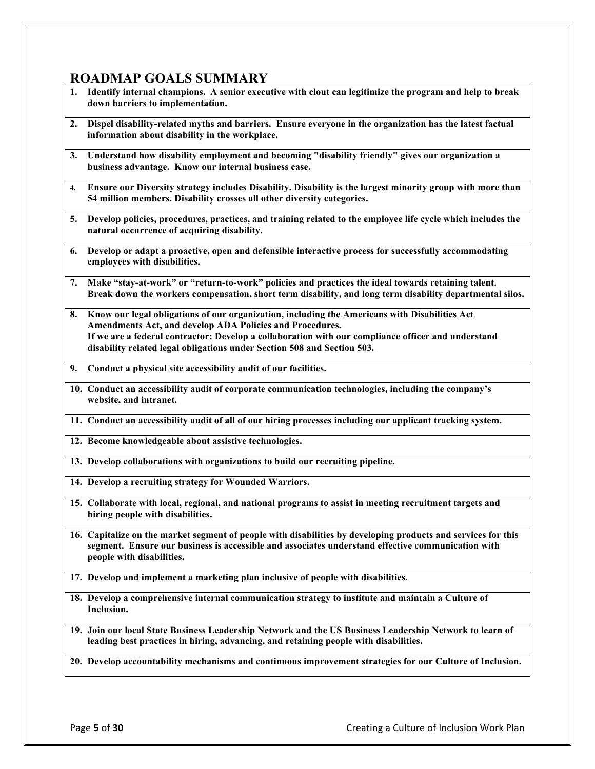### **ROADMAP GOALS SUMMARY**

- **1. Identify internal champions. A senior executive with clout can legitimize the program and help to break down barriers to implementation.**
- **2. Dispel disability-related myths and barriers. Ensure everyone in the organization has the latest factual information about disability in the workplace.**
- **3. Understand how disability employment and becoming "disability friendly" gives our organization a business advantage. Know our internal business case.**
- **4. Ensure our Diversity strategy includes Disability. Disability is the largest minority group with more than 54 million members. Disability crosses all other diversity categories.**
- **5. Develop policies, procedures, practices, and training related to the employee life cycle which includes the natural occurrence of acquiring disability.**
- **6. Develop or adapt a proactive, open and defensible interactive process for successfully accommodating employees with disabilities.**
- **7. Make "stay-at-work" or "return-to-work" policies and practices the ideal towards retaining talent. Break down the workers compensation, short term disability, and long term disability departmental silos.**
- **8. Know our legal obligations of our organization, including the Americans with Disabilities Act Amendments Act, and develop ADA Policies and Procedures. If we are a federal contractor: Develop a collaboration with our compliance officer and understand disability related legal obligations under Section 508 and Section 503.**
- **9. Conduct a physical site accessibility audit of our facilities.**
- **10. Conduct an accessibility audit of corporate communication technologies, including the company's website, and intranet.**
- **11. Conduct an accessibility audit of all of our hiring processes including our applicant tracking system.**
- **12. Become knowledgeable about assistive technologies.**
- **13. Develop collaborations with organizations to build our recruiting pipeline.**
- **14. Develop a recruiting strategy for Wounded Warriors.**
- **15. Collaborate with local, regional, and national programs to assist in meeting recruitment targets and hiring people with disabilities.**
- **16. Capitalize on the market segment of people with disabilities by developing products and services for this segment. Ensure our business is accessible and associates understand effective communication with people with disabilities.**
- **17. Develop and implement a marketing plan inclusive of people with disabilities.**
- **18. Develop a comprehensive internal communication strategy to institute and maintain a Culture of Inclusion.**
- **19. Join our local State Business Leadership Network and the US Business Leadership Network to learn of leading best practices in hiring, advancing, and retaining people with disabilities.**
- **20. Develop accountability mechanisms and continuous improvement strategies for our Culture of Inclusion.**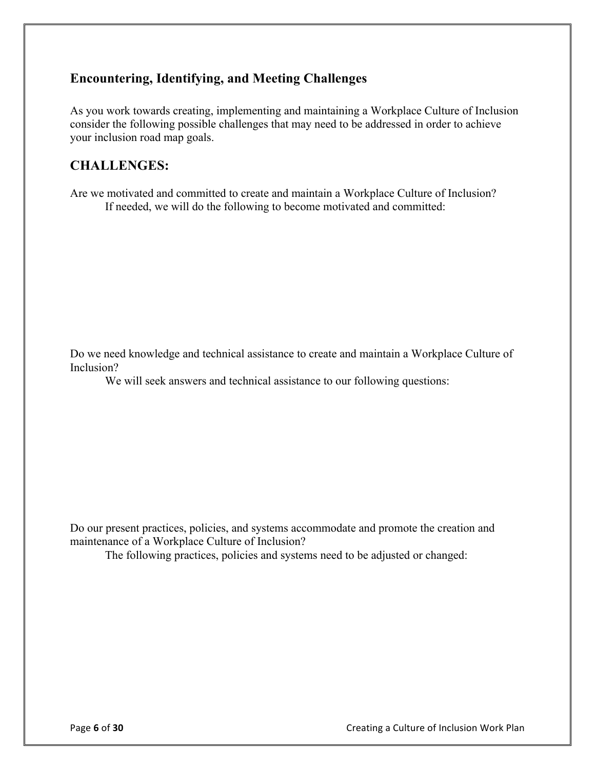## **Encountering, Identifying, and Meeting Challenges**

As you work towards creating, implementing and maintaining a Workplace Culture of Inclusion consider the following possible challenges that may need to be addressed in order to achieve your inclusion road map goals.

### **CHALLENGES:**

Are we motivated and committed to create and maintain a Workplace Culture of Inclusion? If needed, we will do the following to become motivated and committed:

Do we need knowledge and technical assistance to create and maintain a Workplace Culture of Inclusion?

We will seek answers and technical assistance to our following questions:

Do our present practices, policies, and systems accommodate and promote the creation and maintenance of a Workplace Culture of Inclusion?

The following practices, policies and systems need to be adjusted or changed: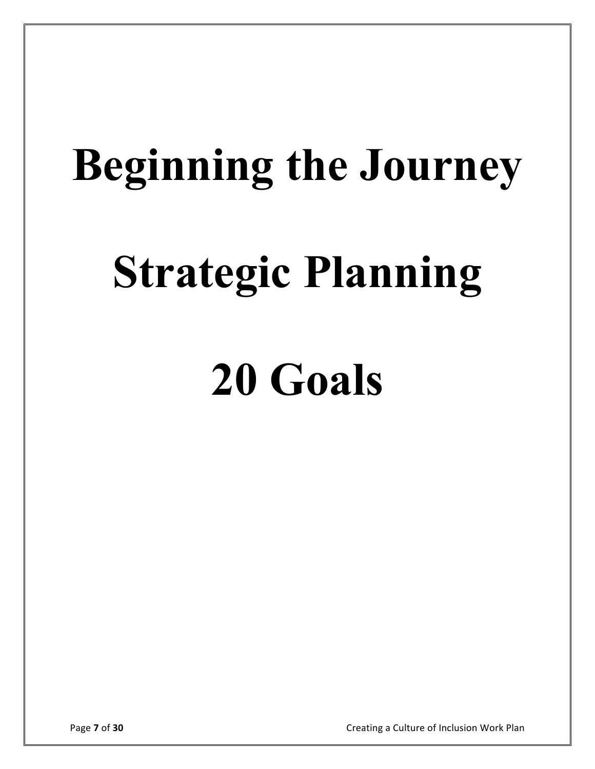# **Beginning the Journey**

# **Strategic Planning**

# **20 Goals**

**Page 7** of 30 Creating a Culture of Inclusion Work Plan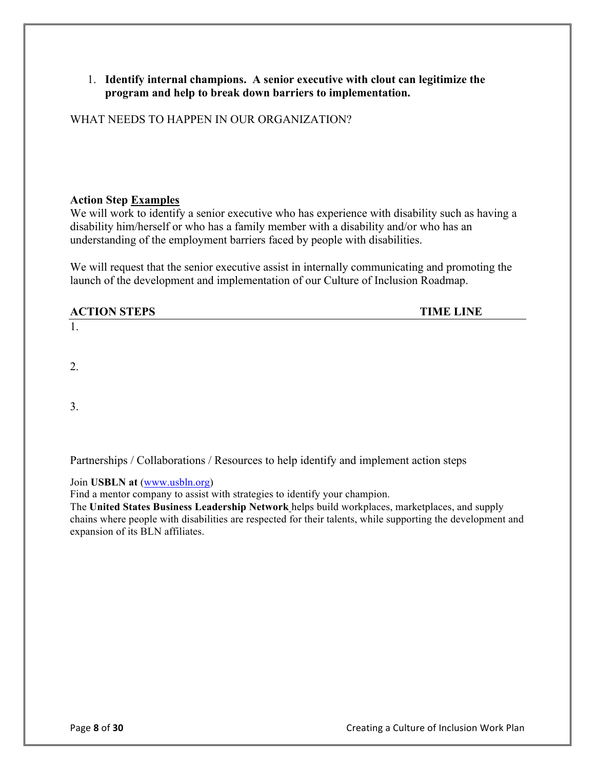#### 1. **Identify internal champions. A senior executive with clout can legitimize the program and help to break down barriers to implementation.**

WHAT NEEDS TO HAPPEN IN OUR ORGANIZATION?

#### **Action Step Examples**

We will work to identify a senior executive who has experience with disability such as having a disability him/herself or who has a family member with a disability and/or who has an understanding of the employment barriers faced by people with disabilities.

We will request that the senior executive assist in internally communicating and promoting the launch of the development and implementation of our Culture of Inclusion Roadmap.

#### **ACTION STEPS TIME LINE**

1.

2.

3.

Partnerships / Collaborations / Resources to help identify and implement action steps

Join **USBLN at** (www.usbln.org)

Find a mentor company to assist with strategies to identify your champion.

The **United States Business Leadership Network** helps build workplaces, marketplaces, and supply chains where people with disabilities are respected for their talents, while supporting the development and expansion of its BLN affiliates.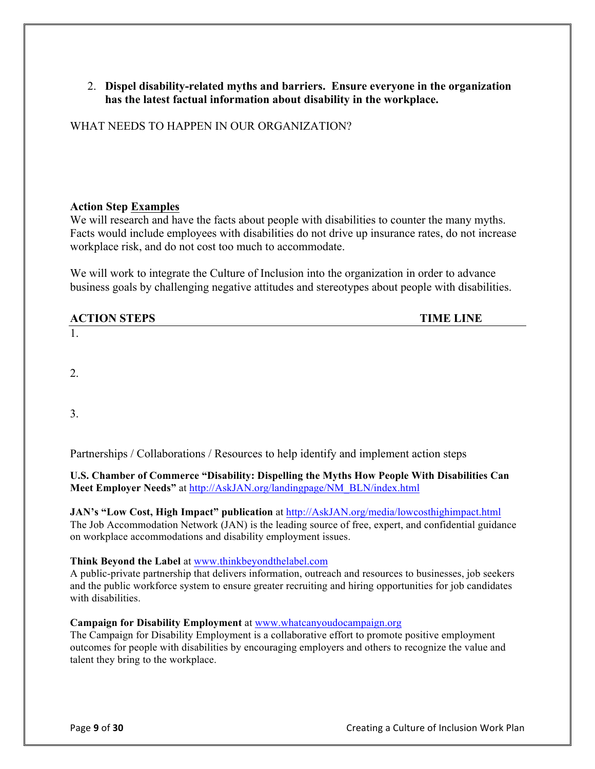#### 2. **Dispel disability-related myths and barriers. Ensure everyone in the organization has the latest factual information about disability in the workplace.**

WHAT NEEDS TO HAPPEN IN OUR ORGANIZATION?

#### **Action Step Examples**

We will research and have the facts about people with disabilities to counter the many myths. Facts would include employees with disabilities do not drive up insurance rates, do not increase workplace risk, and do not cost too much to accommodate.

We will work to integrate the Culture of Inclusion into the organization in order to advance business goals by challenging negative attitudes and stereotypes about people with disabilities.

| <b>ACTION STEPS</b> | <b>TIME LINE</b> |
|---------------------|------------------|
| . .                 |                  |

2.

3.

Partnerships / Collaborations / Resources to help identify and implement action steps

**U.S. Chamber of Commerce "Disability: Dispelling the Myths How People With Disabilities Can Meet Employer Needs"** at http://AskJAN.org/landingpage/NM\_BLN/index.html

**JAN's "Low Cost, High Impact" publication** at http://AskJAN.org/media/lowcosthighimpact.html The Job Accommodation Network (JAN) is the leading source of free, expert, and confidential guidance on workplace accommodations and disability employment issues.

**Think Beyond the Label** at www.thinkbeyondthelabel.com

A public-private partnership that delivers information, outreach and resources to businesses, job seekers and the public workforce system to ensure greater recruiting and hiring opportunities for job candidates with disabilities.

**Campaign for Disability Employment** at www.whatcanyoudocampaign.org

The Campaign for Disability Employment is a collaborative effort to promote positive employment outcomes for people with disabilities by encouraging employers and others to recognize the value and talent they bring to the workplace.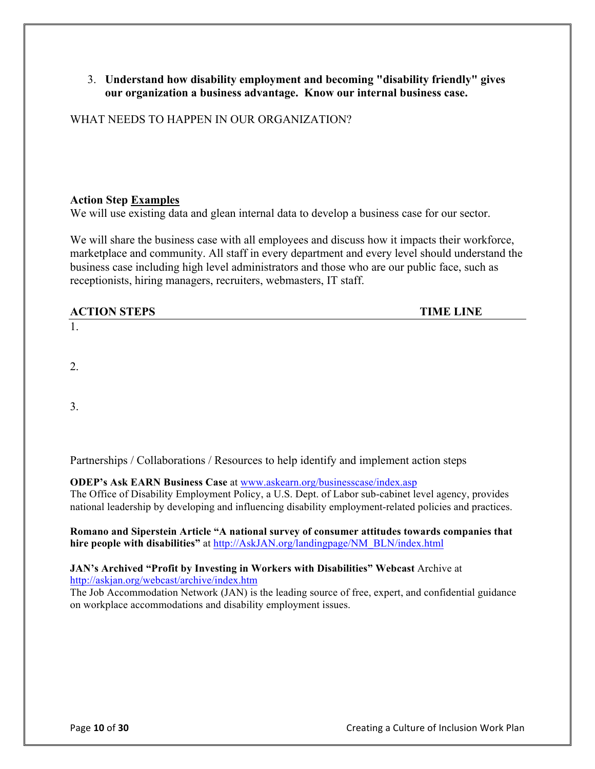#### 3. **Understand how disability employment and becoming "disability friendly" gives our organization a business advantage. Know our internal business case.**

WHAT NEEDS TO HAPPEN IN OUR ORGANIZATION?

#### **Action Step Examples**

We will use existing data and glean internal data to develop a business case for our sector.

We will share the business case with all employees and discuss how it impacts their workforce, marketplace and community. All staff in every department and every level should understand the business case including high level administrators and those who are our public face, such as receptionists, hiring managers, recruiters, webmasters, IT staff.

#### **ACTION STEPS TIME LINE**

2.

1.

3.

Partnerships / Collaborations / Resources to help identify and implement action steps

**ODEP's Ask EARN Business Case** at www.askearn.org/businesscase/index.asp

The Office of Disability Employment Policy, a U.S. Dept. of Labor sub-cabinet level agency, provides national leadership by developing and influencing disability employment-related policies and practices.

**Romano and Siperstein Article "A national survey of consumer attitudes towards companies that hire people with disabilities"** at http://AskJAN.org/landingpage/NM\_BLN/index.html

#### **JAN's Archived "Profit by Investing in Workers with Disabilities" Webcast** Archive at http://askjan.org/webcast/archive/index.htm

The Job Accommodation Network (JAN) is the leading source of free, expert, and confidential guidance on workplace accommodations and disability employment issues.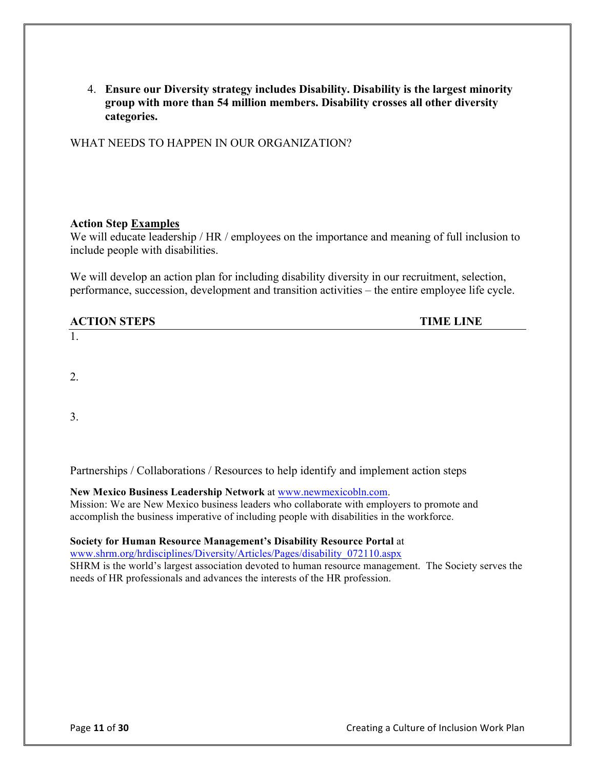4. **Ensure our Diversity strategy includes Disability. Disability is the largest minority group with more than 54 million members. Disability crosses all other diversity categories.** 

WHAT NEEDS TO HAPPEN IN OUR ORGANIZATION?

#### **Action Step Examples**

We will educate leadership / HR / employees on the importance and meaning of full inclusion to include people with disabilities.

We will develop an action plan for including disability diversity in our recruitment, selection, performance, succession, development and transition activities – the entire employee life cycle.

| <b>ACTION STEPS</b> | <b>TIME LINE</b> |
|---------------------|------------------|
|                     |                  |

2.

3.

Partnerships / Collaborations / Resources to help identify and implement action steps

#### **New Mexico Business Leadership Network** at www.newmexicobln.com.

Mission: We are New Mexico business leaders who collaborate with employers to promote and accomplish the business imperative of including people with disabilities in the workforce.

#### **Society for Human Resource Management's Disability Resource Portal** at

www.shrm.org/hrdisciplines/Diversity/Articles/Pages/disability\_072110.aspx

SHRM is the world's largest association devoted to human resource management. The Society serves the needs of HR professionals and advances the interests of the HR profession.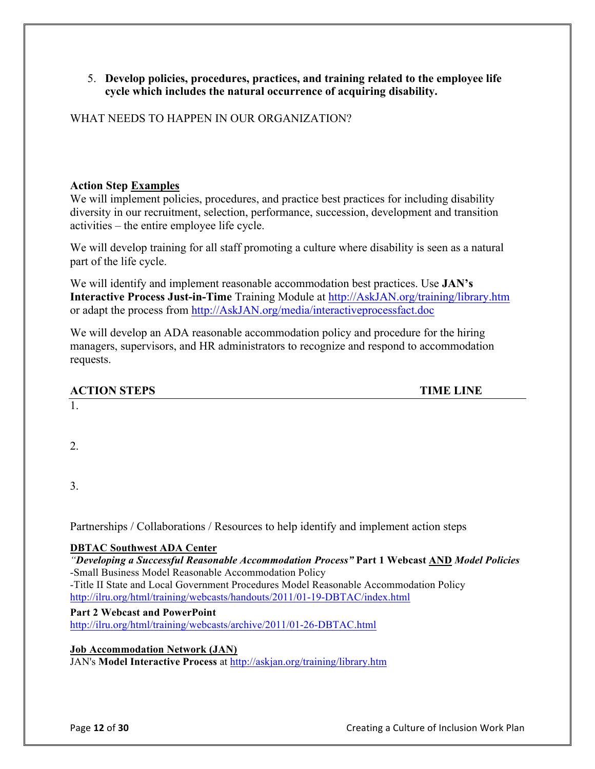#### 5. **Develop policies, procedures, practices, and training related to the employee life cycle which includes the natural occurrence of acquiring disability.**

WHAT NEEDS TO HAPPEN IN OUR ORGANIZATION?

#### **Action Step Examples**

We will implement policies, procedures, and practice best practices for including disability diversity in our recruitment, selection, performance, succession, development and transition activities – the entire employee life cycle.

We will develop training for all staff promoting a culture where disability is seen as a natural part of the life cycle.

We will identify and implement reasonable accommodation best practices. Use **JAN's Interactive Process Just-in-Time** Training Module at http://AskJAN.org/training/library.htm or adapt the process from http://AskJAN.org/media/interactiveprocessfact.doc

We will develop an ADA reasonable accommodation policy and procedure for the hiring managers, supervisors, and HR administrators to recognize and respond to accommodation requests.

| <b>ACTION STEPS</b> | <b>TIME LINE</b> |
|---------------------|------------------|
| 1.                  |                  |

2.

3.

Partnerships / Collaborations / Resources to help identify and implement action steps

#### **DBTAC Southwest ADA Center**

#### *"Developing a Successful Reasonable Accommodation Process"* **Part 1 Webcast AND** *Model Policies* -Small Business Model Reasonable Accommodation Policy

-Title II State and Local Government Procedures Model Reasonable Accommodation Policy http://ilru.org/html/training/webcasts/handouts/2011/01-19-DBTAC/index.html

#### **Part 2 Webcast and PowerPoint**

http://ilru.org/html/training/webcasts/archive/2011/01-26-DBTAC.html

#### **Job Accommodation Network (JAN)**

JAN's **Model Interactive Process** at http://askjan.org/training/library.htm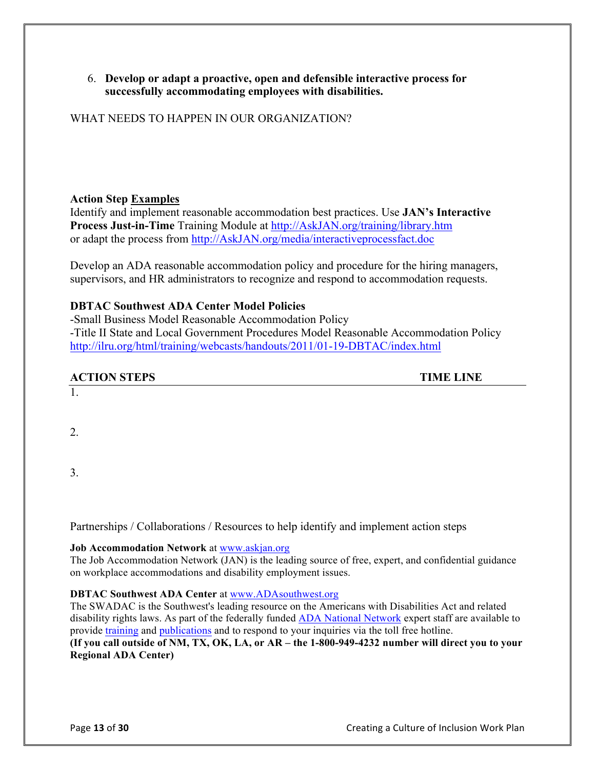#### 6. **Develop or adapt a proactive, open and defensible interactive process for successfully accommodating employees with disabilities.**

WHAT NEEDS TO HAPPEN IN OUR ORGANIZATION?

#### **Action Step Examples**

Identify and implement reasonable accommodation best practices. Use **JAN's Interactive Process Just-in-Time** Training Module at http://AskJAN.org/training/library.htm or adapt the process from http://AskJAN.org/media/interactiveprocessfact.doc

Develop an ADA reasonable accommodation policy and procedure for the hiring managers, supervisors, and HR administrators to recognize and respond to accommodation requests.

#### **DBTAC Southwest ADA Center Model Policies**

-Small Business Model Reasonable Accommodation Policy -Title II State and Local Government Procedures Model Reasonable Accommodation Policy http://ilru.org/html/training/webcasts/handouts/2011/01-19-DBTAC/index.html

#### **ACTION STEPS TIME LINE**

1.

2.

3.

Partnerships / Collaborations / Resources to help identify and implement action steps

#### **Job Accommodation Network** at www.askjan.org

The Job Accommodation Network (JAN) is the leading source of free, expert, and confidential guidance on workplace accommodations and disability employment issues.

#### **DBTAC Southwest ADA Center** at www.ADAsouthwest.org

The SWADAC is the Southwest's leading resource on the Americans with Disabilities Act and related disability rights laws. As part of the federally funded **ADA** National Network expert staff are available to provide training and publications and to respond to your inquiries via the toll free hotline. **(If you call outside of NM, TX, OK, LA, or AR – the 1-800-949-4232 number will direct you to your Regional ADA Center)**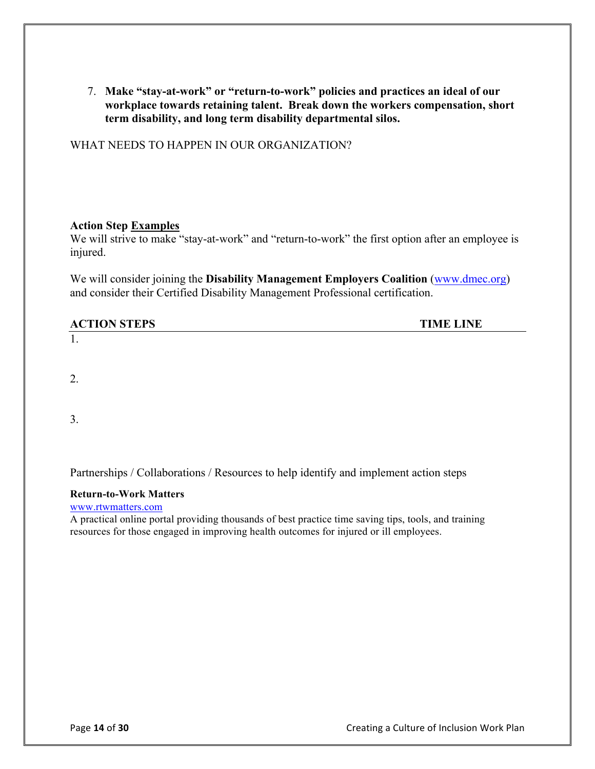7. **Make "stay-at-work" or "return-to-work" policies and practices an ideal of our workplace towards retaining talent. Break down the workers compensation, short term disability, and long term disability departmental silos.**

WHAT NEEDS TO HAPPEN IN OUR ORGANIZATION?

#### **Action Step Examples**

We will strive to make "stay-at-work" and "return-to-work" the first option after an employee is injured.

We will consider joining the **Disability Management Employers Coalition** (www.dmec.org) and consider their Certified Disability Management Professional certification.

| <b>ACTION STEPS</b> | <b>TIME LINE</b> |
|---------------------|------------------|
| .,                  |                  |

2.

3.

Partnerships / Collaborations / Resources to help identify and implement action steps

#### **Return-to-Work Matters**

www.rtwmatters.com

A practical online portal providing thousands of best practice time saving tips, tools, and training resources for those engaged in improving health outcomes for injured or ill employees.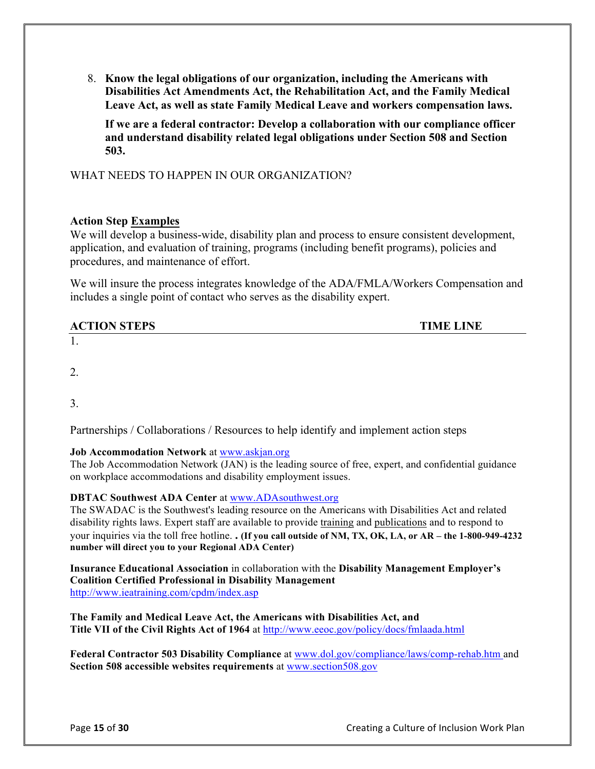8. **Know the legal obligations of our organization, including the Americans with Disabilities Act Amendments Act, the Rehabilitation Act, and the Family Medical Leave Act, as well as state Family Medical Leave and workers compensation laws.** 

**If we are a federal contractor: Develop a collaboration with our compliance officer and understand disability related legal obligations under Section 508 and Section 503.** 

WHAT NEEDS TO HAPPEN IN OUR ORGANIZATION?

#### **Action Step Examples**

We will develop a business-wide, disability plan and process to ensure consistent development, application, and evaluation of training, programs (including benefit programs), policies and procedures, and maintenance of effort.

We will insure the process integrates knowledge of the ADA/FMLA/Workers Compensation and includes a single point of contact who serves as the disability expert.

| <b>ACTION STEPS</b> | <b>TIME LINE</b> |
|---------------------|------------------|
| . .                 |                  |

2.

3.

Partnerships / Collaborations / Resources to help identify and implement action steps

#### **Job Accommodation Network** at www.askjan.org

The Job Accommodation Network (JAN) is the leading source of free, expert, and confidential guidance on workplace accommodations and disability employment issues.

#### **DBTAC Southwest ADA Center** at www.ADAsouthwest.org

The SWADAC is the Southwest's leading resource on the Americans with Disabilities Act and related disability rights laws. Expert staff are available to provide training and publications and to respond to your inquiries via the toll free hotline. **. (If you call outside of NM, TX, OK, LA, or AR – the 1-800-949-4232 number will direct you to your Regional ADA Center)**

**Insurance Educational Association** in collaboration with the **Disability Management Employer's Coalition Certified Professional in Disability Management** http://www.ieatraining.com/cpdm/index.asp

**The Family and Medical Leave Act, the Americans with Disabilities Act, and**  Title VII of the Civil Rights Act of 1964 at http://www.eeoc.gov/policy/docs/fmlaada.html

**Federal Contractor 503 Disability Compliance** at www.dol.gov/compliance/laws/comp-rehab.htm and **Section 508 accessible websites requirements** at www.section508.gov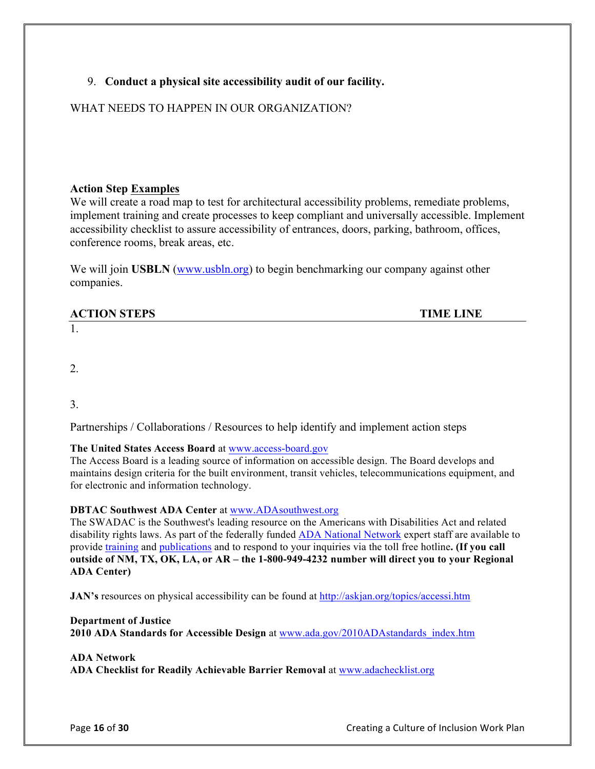#### 9. **Conduct a physical site accessibility audit of our facility.**

#### WHAT NEEDS TO HAPPEN IN OUR ORGANIZATION?

#### **Action Step Examples**

We will create a road map to test for architectural accessibility problems, remediate problems, implement training and create processes to keep compliant and universally accessible. Implement accessibility checklist to assure accessibility of entrances, doors, parking, bathroom, offices, conference rooms, break areas, etc.

We will join **USBLN** (www.usbln.org) to begin benchmarking our company against other companies.

# **ACTION STEPS TIME LINE**

1.

2.

3.

Partnerships / Collaborations / Resources to help identify and implement action steps

#### **The United States Access Board** at www.access-board.gov

The Access Board is a leading source of information on accessible design. The Board develops and maintains design criteria for the built environment, transit vehicles, telecommunications equipment, and for electronic and information technology.

#### **DBTAC Southwest ADA Center** at www.ADAsouthwest.org

The SWADAC is the Southwest's leading resource on the Americans with Disabilities Act and related disability rights laws. As part of the federally funded ADA National Network expert staff are available to provide training and publications and to respond to your inquiries via the toll free hotline**. (If you call outside of NM, TX, OK, LA, or AR – the 1-800-949-4232 number will direct you to your Regional ADA Center)**

**JAN's** resources on physical accessibility can be found at http://askjan.org/topics/accessi.htm

#### **Department of Justice**

**2010 ADA Standards for Accessible Design** at www.ada.gov/2010ADAstandards\_index.htm

#### **ADA Network**

**ADA Checklist for Readily Achievable Barrier Removal** at www.adachecklist.org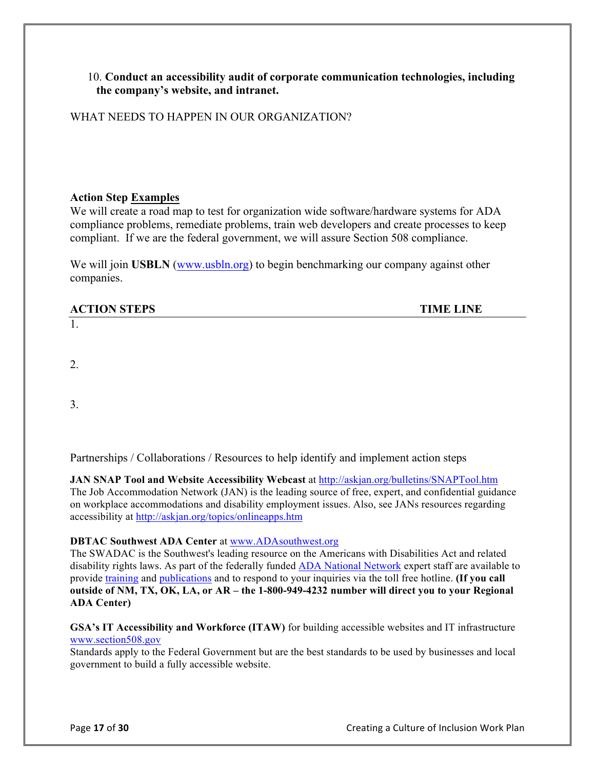#### 10. **Conduct an accessibility audit of corporate communication technologies, including the company's website, and intranet.**

WHAT NEEDS TO HAPPEN IN OUR ORGANIZATION?

#### **Action Step Examples**

We will create a road map to test for organization wide software/hardware systems for ADA compliance problems, remediate problems, train web developers and create processes to keep compliant. If we are the federal government, we will assure Section 508 compliance.

We will join **USBLN** (www.usbln.org) to begin benchmarking our company against other companies.

#### **ACTION STEPS TIME LINE**

2.

1.

3.

Partnerships / Collaborations / Resources to help identify and implement action steps

JAN SNAP Tool and Website Accessibility Webcast at http://askjan.org/bulletins/SNAPTool.htm The Job Accommodation Network (JAN) is the leading source of free, expert, and confidential guidance on workplace accommodations and disability employment issues. Also, see JANs resources regarding accessibility at http://askjan.org/topics/onlineapps.htm

#### **DBTAC Southwest ADA Center** at www.ADAsouthwest.org

The SWADAC is the Southwest's leading resource on the Americans with Disabilities Act and related disability rights laws. As part of the federally funded **ADA** National Network expert staff are available to provide training and publications and to respond to your inquiries via the toll free hotline. **(If you call outside of NM, TX, OK, LA, or AR – the 1-800-949-4232 number will direct you to your Regional ADA Center)**

#### **GSA's IT Accessibility and Workforce (ITAW)** for building accessible websites and IT infrastructure www.section508.gov

Standards apply to the Federal Government but are the best standards to be used by businesses and local government to build a fully accessible website.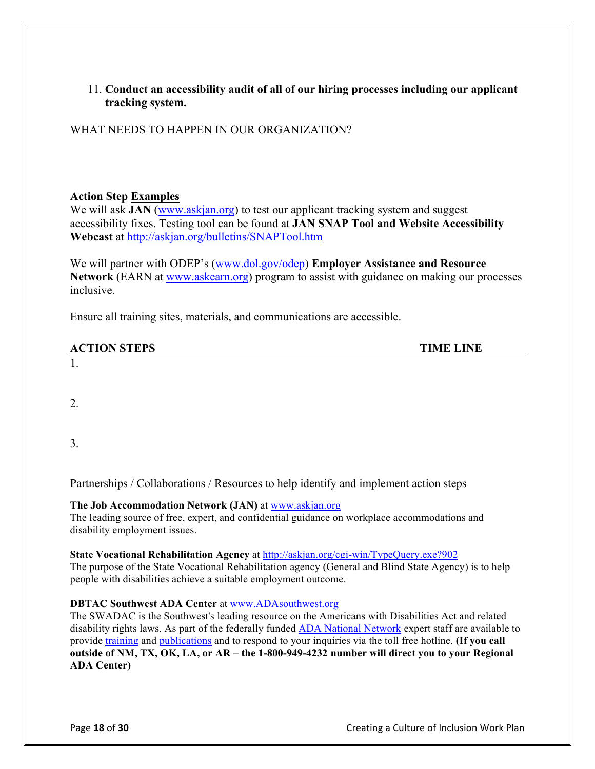11. **Conduct an accessibility audit of all of our hiring processes including our applicant tracking system.**

WHAT NEEDS TO HAPPEN IN OUR ORGANIZATION?

#### **Action Step Examples**

We will ask **JAN** (www.askjan.org) to test our applicant tracking system and suggest accessibility fixes. Testing tool can be found at **JAN SNAP Tool and Website Accessibility Webcast** at http://askjan.org/bulletins/SNAPTool.htm

We will partner with ODEP's (www.dol.gov/odep) **Employer Assistance and Resource Network** (EARN at www.askearn.org) program to assist with guidance on making our processes inclusive.

Ensure all training sites, materials, and communications are accessible.

| <b>ACTION</b><br><b>STEPS</b><br>L'IL IJ<br>ັ | TIME<br><b>INF</b> |
|-----------------------------------------------|--------------------|
|                                               |                    |

1.

2.

3.

Partnerships / Collaborations / Resources to help identify and implement action steps

#### **The Job Accommodation Network (JAN)** at www.askjan.org

The leading source of free, expert, and confidential guidance on workplace accommodations and disability employment issues.

#### **State Vocational Rehabilitation Agency** at http://askjan.org/cgi-win/TypeQuery.exe?902

The purpose of the State Vocational Rehabilitation agency (General and Blind State Agency) is to help people with disabilities achieve a suitable employment outcome.

#### **DBTAC Southwest ADA Center** at www.ADAsouthwest.org

The SWADAC is the Southwest's leading resource on the Americans with Disabilities Act and related disability rights laws. As part of the federally funded ADA National Network expert staff are available to provide training and publications and to respond to your inquiries via the toll free hotline. **(If you call outside of NM, TX, OK, LA, or AR – the 1-800-949-4232 number will direct you to your Regional ADA Center)**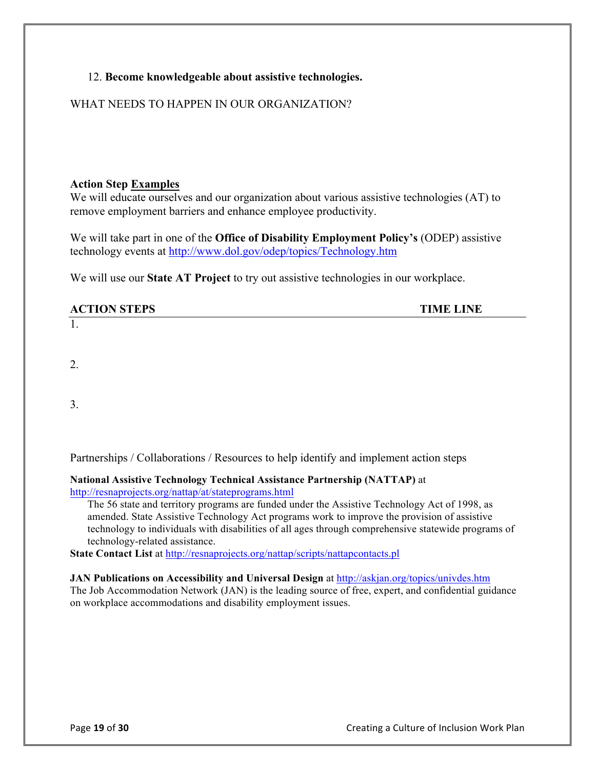#### 12. **Become knowledgeable about assistive technologies.**

#### WHAT NEEDS TO HAPPEN IN OUR ORGANIZATION?

#### **Action Step Examples**

We will educate ourselves and our organization about various assistive technologies (AT) to remove employment barriers and enhance employee productivity.

We will take part in one of the **Office of Disability Employment Policy's** (ODEP) assistive technology events at http://www.dol.gov/odep/topics/Technology.htm

We will use our **State AT Project** to try out assistive technologies in our workplace.

| <b>ACTION STEPS</b> | <b>TIME LINE</b> |
|---------------------|------------------|
|                     |                  |

2.

3.

Partnerships / Collaborations / Resources to help identify and implement action steps

**National Assistive Technology Technical Assistance Partnership (NATTAP)** at http://resnaprojects.org/nattap/at/stateprograms.html

The 56 state and territory programs are funded under the Assistive Technology Act of 1998, as amended. State Assistive Technology Act programs work to improve the provision of assistive technology to individuals with disabilities of all ages through comprehensive statewide programs of technology-related assistance.

**State Contact List** at http://resnaprojects.org/nattap/scripts/nattapcontacts.pl

#### **JAN Publications on Accessibility and Universal Design** at http://askjan.org/topics/univdes.htm

The Job Accommodation Network (JAN) is the leading source of free, expert, and confidential guidance on workplace accommodations and disability employment issues.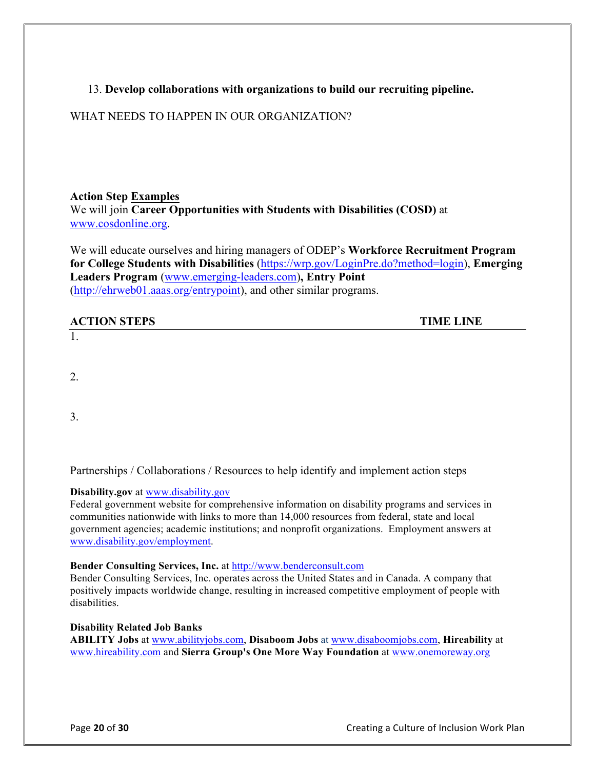#### 13. **Develop collaborations with organizations to build our recruiting pipeline.**

#### WHAT NEEDS TO HAPPEN IN OUR ORGANIZATION?

#### **Action Step Examples** We will join **Career Opportunities with Students with Disabilities (COSD)** at www.cosdonline.org.

We will educate ourselves and hiring managers of ODEP's **Workforce Recruitment Program for College Students with Disabilities** (https://wrp.gov/LoginPre.do?method=login), **Emerging Leaders Program** (www.emerging-leaders.com)**, Entry Point** (http://ehrweb01.aaas.org/entrypoint), and other similar programs.

| <b>ACTION STEPS</b> | <b>TIME LINE</b> |
|---------------------|------------------|
| л.                  |                  |

2.

3.

Partnerships / Collaborations / Resources to help identify and implement action steps

#### **Disability.gov** at www.disability.gov

Federal government website for comprehensive information on disability programs and services in communities nationwide with links to more than 14,000 resources from federal, state and local government agencies; academic institutions; and nonprofit organizations. Employment answers at www.disability.gov/employment.

#### **Bender Consulting Services, Inc.** at http://www.benderconsult.com

Bender Consulting Services, Inc. operates across the United States and in Canada. A company that positively impacts worldwide change, resulting in increased competitive employment of people with disabilities.

#### **Disability Related Job Banks**

**ABILITY Jobs** at www.abilityjobs.com, **Disaboom Jobs** at www.disaboomjobs.com, **Hireability** at www.hireability.com and **Sierra Group's One More Way Foundation** at www.onemoreway.org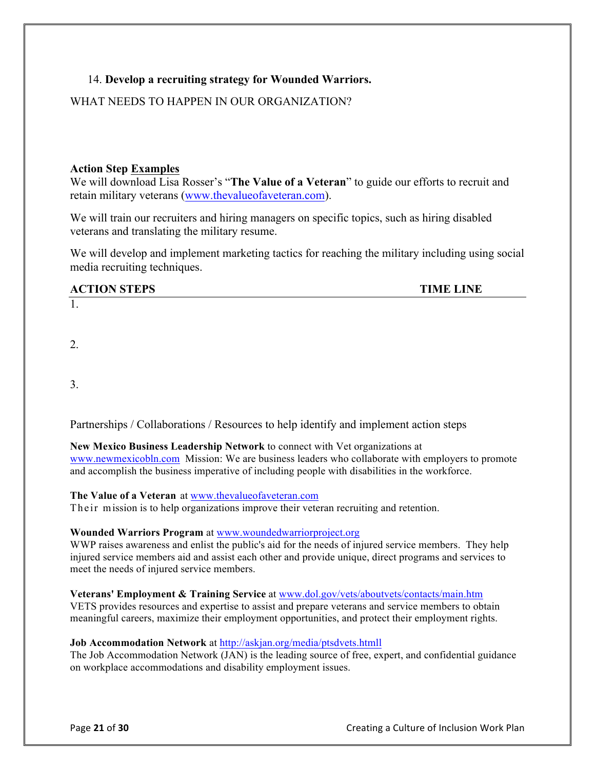#### 14. **Develop a recruiting strategy for Wounded Warriors.**

#### WHAT NEEDS TO HAPPEN IN OUR ORGANIZATION?

#### **Action Step Examples**

We will download Lisa Rosser's "**The Value of a Veteran**" to guide our efforts to recruit and retain military veterans (www.thevalueofaveteran.com).

We will train our recruiters and hiring managers on specific topics, such as hiring disabled veterans and translating the military resume.

We will develop and implement marketing tactics for reaching the military including using social media recruiting techniques.

#### **ACTION STEPS TIME LINE**

2.

1.

3.

Partnerships / Collaborations / Resources to help identify and implement action steps

**New Mexico Business Leadership Network** to connect with Vet organizations at www.newmexicobln.com Mission: We are business leaders who collaborate with employers to promote and accomplish the business imperative of including people with disabilities in the workforce.

#### **The Value of a Veteran** at www.thevalueofaveteran.com

Their mission is to help organizations improve their veteran recruiting and retention.

#### **Wounded Warriors Program** at www.woundedwarriorproject.org

WWP raises awareness and enlist the public's aid for the needs of injured service members. They help injured service members aid and assist each other and provide unique, direct programs and services to meet the needs of injured service members.

**Veterans' Employment & Training Service** at www.dol.gov/vets/aboutvets/contacts/main.htm VETS provides resources and expertise to assist and prepare veterans and service members to obtain meaningful careers, maximize their employment opportunities, and protect their employment rights.

#### **Job Accommodation Network** at http://askjan.org/media/ptsdvets.htmll

The Job Accommodation Network (JAN) is the leading source of free, expert, and confidential guidance on workplace accommodations and disability employment issues.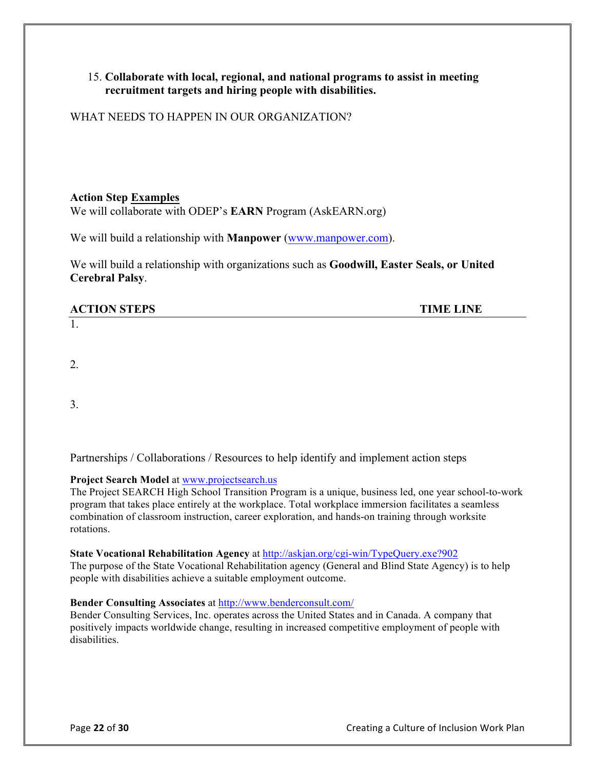#### 15. **Collaborate with local, regional, and national programs to assist in meeting recruitment targets and hiring people with disabilities.**

WHAT NEEDS TO HAPPEN IN OUR ORGANIZATION?

#### **Action Step Examples**

We will collaborate with ODEP's **EARN** Program (AskEARN.org)

We will build a relationship with **Manpower** (www.manpower.com).

We will build a relationship with organizations such as **Goodwill, Easter Seals, or United Cerebral Palsy**.

#### **ACTION STEPS TIME LINE**

1.

2.

3.

Partnerships / Collaborations / Resources to help identify and implement action steps

#### **Project Search Model** at www.projectsearch.us

The Project SEARCH High School Transition Program is a unique, business led, one year school-to-work program that takes place entirely at the workplace. Total workplace immersion facilitates a seamless combination of classroom instruction, career exploration, and hands-on training through worksite rotations.

#### **State Vocational Rehabilitation Agency** at http://askjan.org/cgi-win/TypeQuery.exe?902

The purpose of the State Vocational Rehabilitation agency (General and Blind State Agency) is to help people with disabilities achieve a suitable employment outcome.

#### **Bender Consulting Associates** at http://www.benderconsult.com/

Bender Consulting Services, Inc. operates across the United States and in Canada. A company that positively impacts worldwide change, resulting in increased competitive employment of people with disabilities.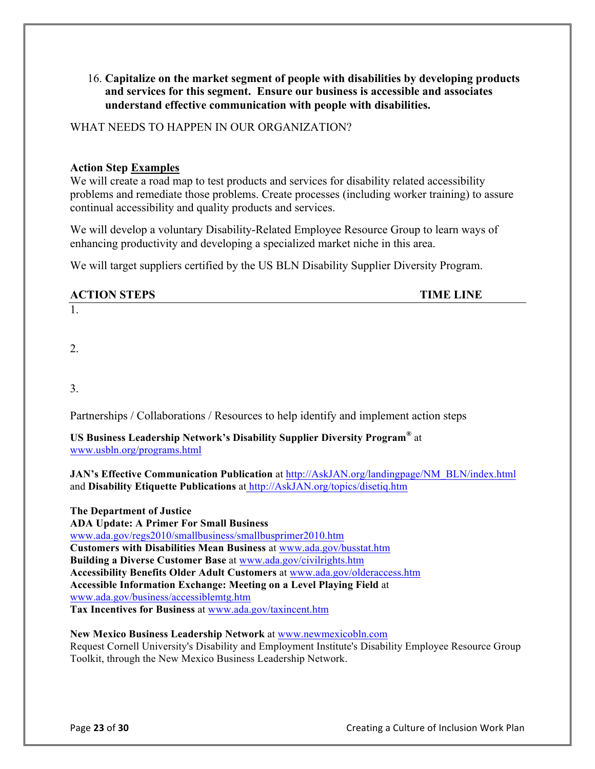16. **Capitalize on the market segment of people with disabilities by developing products and services for this segment. Ensure our business is accessible and associates understand effective communication with people with disabilities.** 

WHAT NEEDS TO HAPPEN IN OUR ORGANIZATION?

#### **Action Step Examples**

We will create a road map to test products and services for disability related accessibility problems and remediate those problems. Create processes (including worker training) to assure continual accessibility and quality products and services.

We will develop a voluntary Disability-Related Employee Resource Group to learn ways of enhancing productivity and developing a specialized market niche in this area.

We will target suppliers certified by the US BLN Disability Supplier Diversity Program.

#### **ACTION STEPS TIME LINE**

2.

1.

3.

Partnerships / Collaborations / Resources to help identify and implement action steps

**US Business Leadership Network's Disability Supplier Diversity Program®** at www.usbln.org/programs.html

**JAN's Effective Communication Publication** at http://AskJAN.org/landingpage/NM\_BLN/index.html and **Disability Etiquette Publications** at http://AskJAN.org/topics/disetiq.htm

**The Department of Justice ADA Update: A Primer For Small Business** www.ada.gov/regs2010/smallbusiness/smallbusprimer2010.htm **Customers with Disabilities Mean Business** at www.ada.gov/busstat.htm **Building a Diverse Customer Base** at www.ada.gov/civilrights.htm **Accessibility Benefits Older Adult Customers** at www.ada.gov/olderaccess.htm **Accessible Information Exchange: Meeting on a Level Playing Field** at www.ada.gov/business/accessiblemtg.htm **Tax Incentives for Business** at www.ada.gov/taxincent.htm

**New Mexico Business Leadership Network** at www.newmexicobln.com Request Cornell University's Disability and Employment Institute's Disability Employee Resource Group Toolkit, through the New Mexico Business Leadership Network.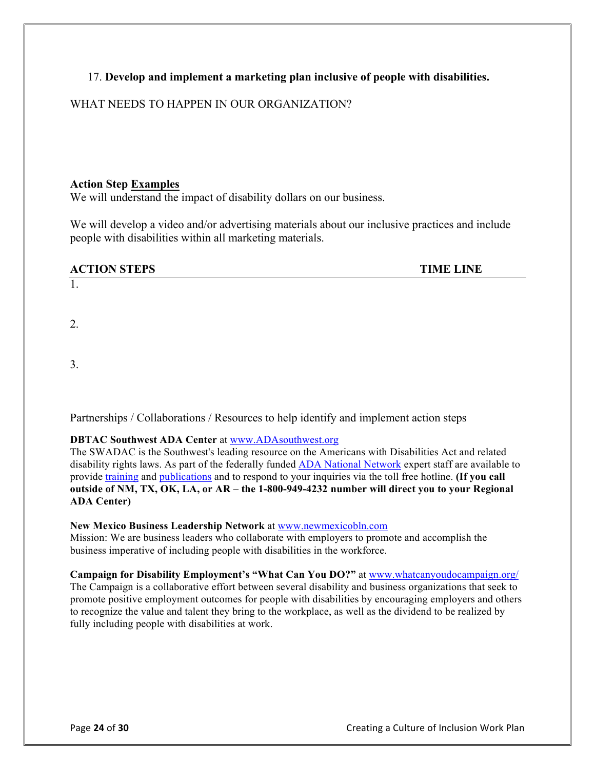#### 17. **Develop and implement a marketing plan inclusive of people with disabilities.**

#### WHAT NEEDS TO HAPPEN IN OUR ORGANIZATION?

#### **Action Step Examples**

We will understand the impact of disability dollars on our business.

We will develop a video and/or advertising materials about our inclusive practices and include people with disabilities within all marketing materials.

| <b>ACTION STEPS</b>     | <b>TIME LINE</b> |
|-------------------------|------------------|
|                         |                  |
|                         |                  |
| 2.                      |                  |
|                         |                  |
|                         |                  |
| $\mathbf{\Omega}$<br>J. |                  |

Partnerships / Collaborations / Resources to help identify and implement action steps

#### **DBTAC Southwest ADA Center** at www.ADAsouthwest.org

The SWADAC is the Southwest's leading resource on the Americans with Disabilities Act and related disability rights laws. As part of the federally funded ADA National Network expert staff are available to provide training and publications and to respond to your inquiries via the toll free hotline. **(If you call outside of NM, TX, OK, LA, or AR – the 1-800-949-4232 number will direct you to your Regional ADA Center)**

#### **New Mexico Business Leadership Network** at www.newmexicobln.com

Mission: We are business leaders who collaborate with employers to promote and accomplish the business imperative of including people with disabilities in the workforce.

#### Campaign for Disability Employment's "What Can You DO?" at www.whatcanyoudocampaign.org/

The Campaign is a collaborative effort between several disability and business organizations that seek to promote positive employment outcomes for people with disabilities by encouraging employers and others to recognize the value and talent they bring to the workplace, as well as the dividend to be realized by fully including people with disabilities at work.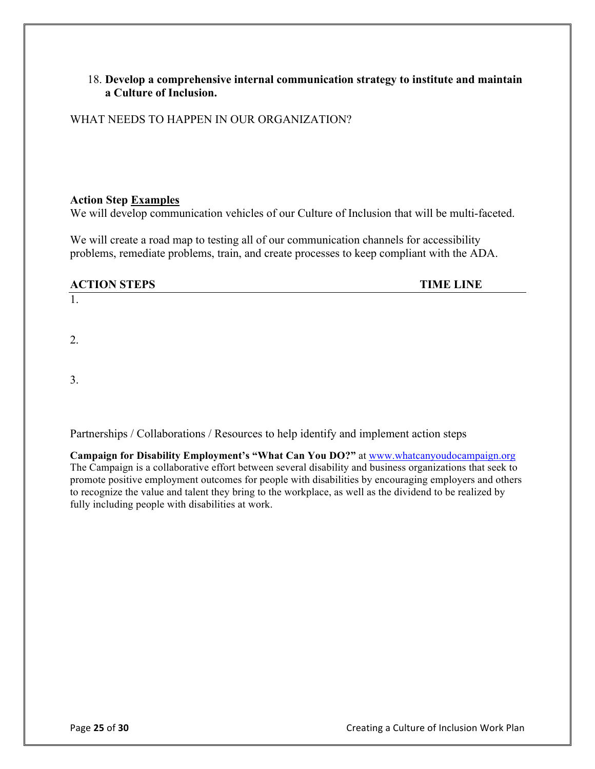#### 18. **Develop a comprehensive internal communication strategy to institute and maintain a Culture of Inclusion.**

WHAT NEEDS TO HAPPEN IN OUR ORGANIZATION?

#### **Action Step Examples**

We will develop communication vehicles of our Culture of Inclusion that will be multi-faceted.

We will create a road map to testing all of our communication channels for accessibility problems, remediate problems, train, and create processes to keep compliant with the ADA.

#### **ACTION STEPS TIME LINE**

2.

1.

3.

Partnerships / Collaborations / Resources to help identify and implement action steps

**Campaign for Disability Employment's "What Can You DO?"** at www.whatcanyoudocampaign.org The Campaign is a collaborative effort between several disability and business organizations that seek to promote positive employment outcomes for people with disabilities by encouraging employers and others to recognize the value and talent they bring to the workplace, as well as the dividend to be realized by fully including people with disabilities at work.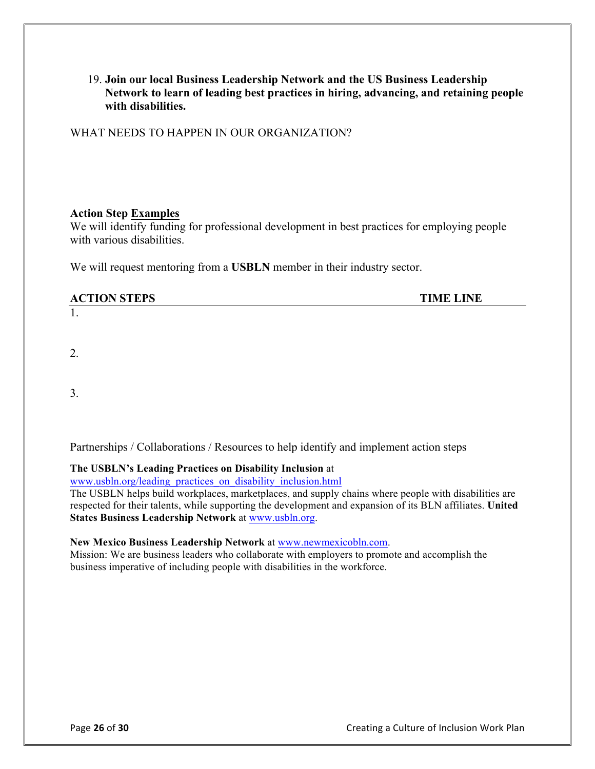19. **Join our local Business Leadership Network and the US Business Leadership Network to learn of leading best practices in hiring, advancing, and retaining people with disabilities.**

WHAT NEEDS TO HAPPEN IN OUR ORGANIZATION?

#### **Action Step Examples**

We will identify funding for professional development in best practices for employing people with various disabilities.

We will request mentoring from a **USBLN** member in their industry sector.

| <b>ACTION STEPS</b> | <b>TIME LINE</b> |
|---------------------|------------------|
| $\mathbf{I}$ .      |                  |

2.

3.

Partnerships / Collaborations / Resources to help identify and implement action steps

#### **The USBLN's Leading Practices on Disability Inclusion** at

www.usbln.org/leading\_practices\_on\_disability\_inclusion.html

The USBLN helps build workplaces, marketplaces, and supply chains where people with disabilities are respected for their talents, while supporting the development and expansion of its BLN affiliates. **United States Business Leadership Network** at www.usbln.org.

#### **New Mexico Business Leadership Network** at www.newmexicobln.com.

Mission: We are business leaders who collaborate with employers to promote and accomplish the business imperative of including people with disabilities in the workforce.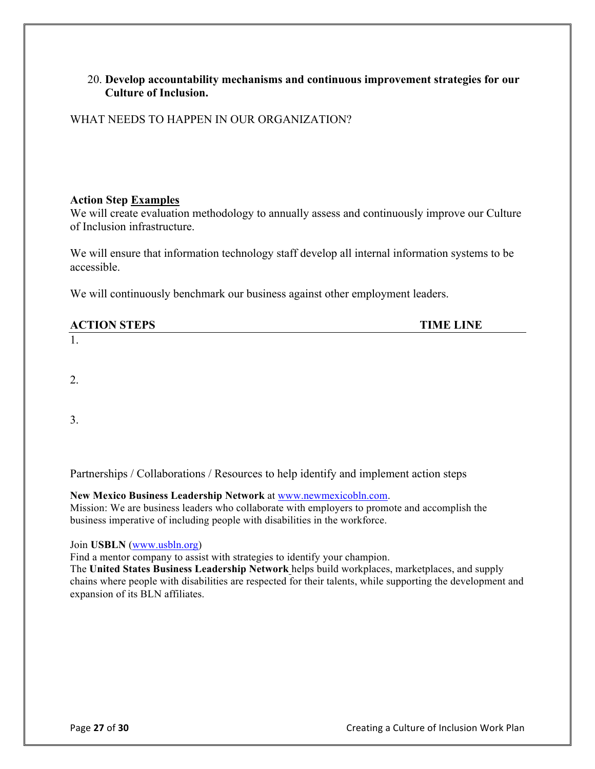#### 20. **Develop accountability mechanisms and continuous improvement strategies for our Culture of Inclusion.**

WHAT NEEDS TO HAPPEN IN OUR ORGANIZATION?

#### **Action Step Examples**

We will create evaluation methodology to annually assess and continuously improve our Culture of Inclusion infrastructure.

We will ensure that information technology staff develop all internal information systems to be accessible.

We will continuously benchmark our business against other employment leaders.

| <b>ACTION STEPS</b>      | <b>TIME LINE</b> |
|--------------------------|------------------|
| $\overline{\phantom{a}}$ |                  |

2.

3.

Partnerships / Collaborations / Resources to help identify and implement action steps

**New Mexico Business Leadership Network** at www.newmexicobln.com.

Mission: We are business leaders who collaborate with employers to promote and accomplish the business imperative of including people with disabilities in the workforce.

Join **USBLN** (www.usbln.org)

Find a mentor company to assist with strategies to identify your champion.

The **United States Business Leadership Network** helps build workplaces, marketplaces, and supply chains where people with disabilities are respected for their talents, while supporting the development and expansion of its BLN affiliates.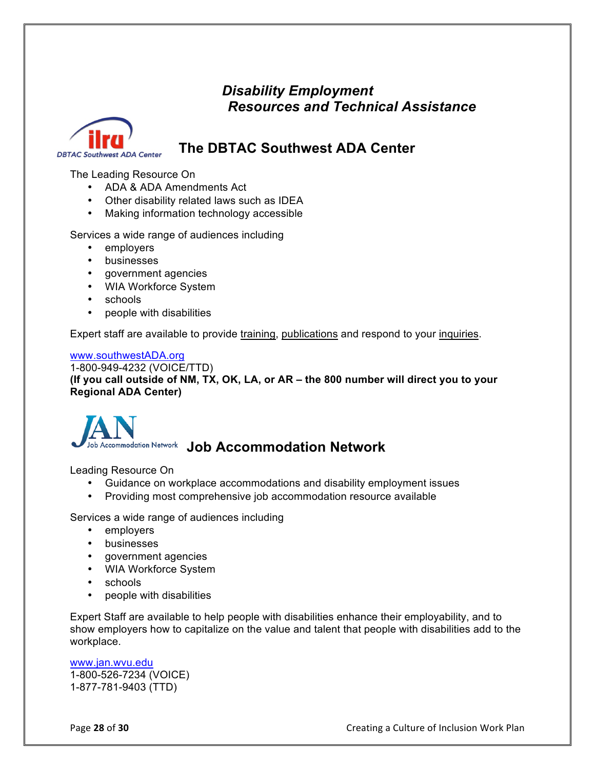# *Disability Employment Resources and Technical Assistance*



# **The DBTAC Southwest ADA Center**

The Leading Resource On

- ADA & ADA Amendments Act
- Other disability related laws such as IDEA
- Making information technology accessible

Services a wide range of audiences including

- employers
- businesses
- government agencies
- WIA Workforce System
- schools
- people with disabilities

Expert staff are available to provide training, publications and respond to your inquiries.

#### www.southwestADA.org

1-800-949-4232 (VOICE/TTD) **(If you call outside of NM, TX, OK, LA, or AR – the 800 number will direct you to your Regional ADA Center)**



# **Accommodation Network Job Accommodation Network**

Leading Resource On

- Guidance on workplace accommodations and disability employment issues
- Providing most comprehensive job accommodation resource available

Services a wide range of audiences including

- employers
- businesses
- government agencies
- WIA Workforce System
- schools
- people with disabilities

Expert Staff are available to help people with disabilities enhance their employability, and to show employers how to capitalize on the value and talent that people with disabilities add to the workplace.

www.jan.wvu.edu 1-800-526-7234 (VOICE) 1-877-781-9403 (TTD)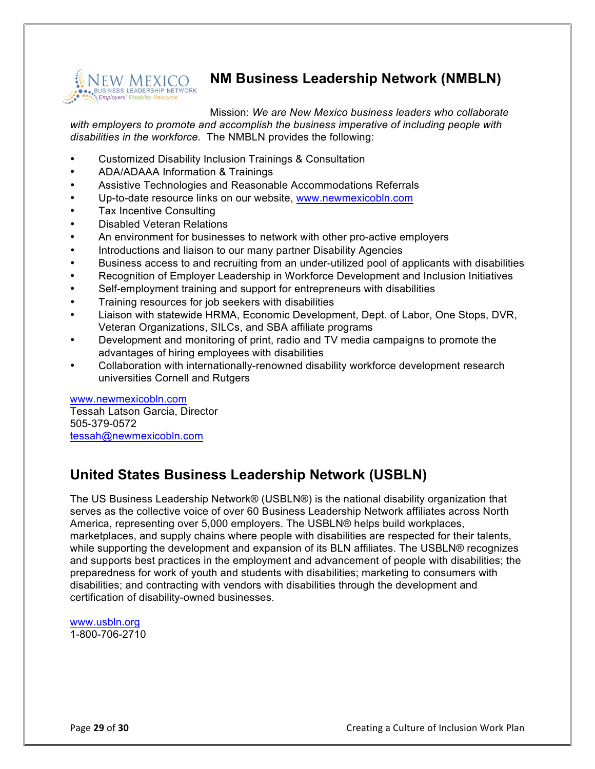

# **NM Business Leadership Network (NMBLN)**

Mission: *We are New Mexico business leaders who collaborate with employers to promote and accomplish the business imperative of including people with disabilities in the workforce.* The NMBLN provides the following:

- Customized Disability Inclusion Trainings & Consultation
- ADA/ADAAA Information & Trainings
- Assistive Technologies and Reasonable Accommodations Referrals
- Up-to-date resource links on our website, www.newmexicobln.com
- Tax Incentive Consulting
- Disabled Veteran Relations
- An environment for businesses to network with other pro-active employers
- Introductions and liaison to our many partner Disability Agencies
- Business access to and recruiting from an under-utilized pool of applicants with disabilities
- Recognition of Employer Leadership in Workforce Development and Inclusion Initiatives
- Self-employment training and support for entrepreneurs with disabilities
- Training resources for job seekers with disabilities
- Liaison with statewide HRMA, Economic Development, Dept. of Labor, One Stops, DVR, Veteran Organizations, SILCs, and SBA affiliate programs
- Development and monitoring of print, radio and TV media campaigns to promote the advantages of hiring employees with disabilities
- Collaboration with internationally-renowned disability workforce development research universities Cornell and Rutgers

www.newmexicobln.com Tessah Latson Garcia, Director 505-379-0572 tessah@newmexicobln.com

# **United States Business Leadership Network (USBLN)**

The US Business Leadership Network® (USBLN®) is the national disability organization that serves as the collective voice of over 60 Business Leadership Network affiliates across North America, representing over 5,000 employers. The USBLN® helps build workplaces, marketplaces, and supply chains where people with disabilities are respected for their talents, while supporting the development and expansion of its BLN affiliates. The USBLN® recognizes and supports best practices in the employment and advancement of people with disabilities; the preparedness for work of youth and students with disabilities; marketing to consumers with disabilities; and contracting with vendors with disabilities through the development and certification of disability-owned businesses.

www.usbln.org 1-800-706-2710